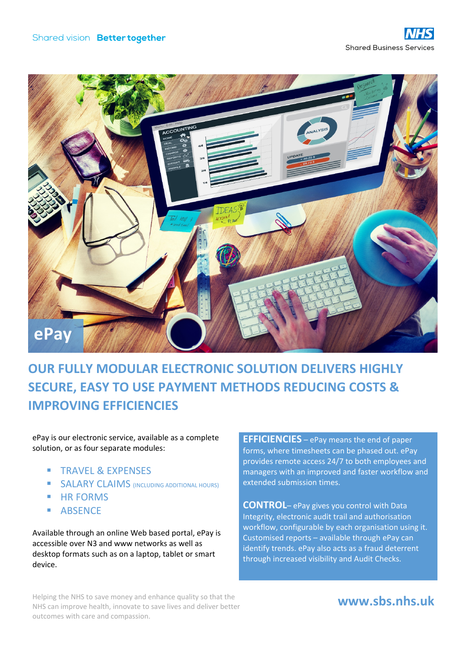

# **OUR FULLY MODULAR ELECTRONIC SOLUTION DELIVERS HIGHLY SECURE, EASY TO USE PAYMENT METHODS REDUCING COSTS & IMPROVING EFFICIENCIES**

ePay is our electronic service, available as a complete solution, or as four separate modules:

- **TRAVEL & EXPENSES**
- SALARY CLAIMS (INCLUDING ADDITIONAL HOURS)
- **HR FORMS**
- ABSENCE

Available through an online Web based portal, ePay is accessible over N3 and www networks as well as desktop formats such as on a laptop, tablet or smart device.

**EFFICIENCIES** – ePay means the end of paper forms, where timesheets can be phased out. ePay provides remote access 24/7 to both employees and managers with an improved and faster workflow and extended submission times.

**CONTROL**– ePay gives you control with Data Integrity, electronic audit trail and authorisation workflow, configurable by each organisation using it. Customised reports – available through ePay can identify trends. ePay also acts as a fraud deterrent through increased visibility and Audit Checks.

Helping the NHS to save money and enhance quality so that the NHS can improve health, innovate to save lives and deliver better outcomes with care and compassion.

## **www.sbs.nhs.uk**